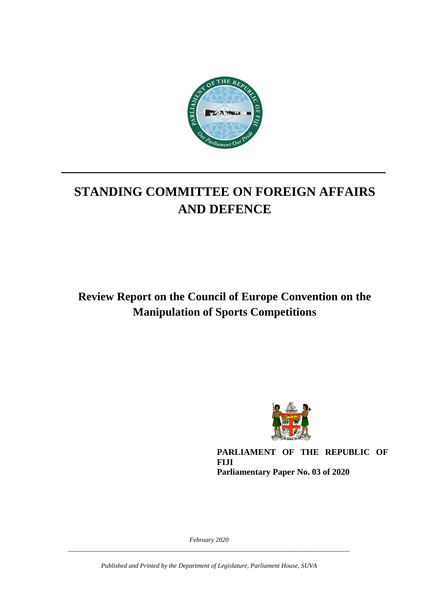

# **STANDING COMMITTEE ON FOREIGN AFFAIRS AND DEFENCE**

**\_\_\_\_\_\_\_\_\_\_\_\_\_\_\_\_\_\_\_\_\_\_\_\_\_\_\_\_\_\_\_\_\_\_\_\_\_\_\_\_\_\_\_\_\_**

**Review Report on the Council of Europe Convention on the Manipulation of Sports Competitions**



**PARLIAMENT OF THE REPUBLIC OF FIJI Parliamentary Paper No. 03 of 2020**

*February 2020 \_\_\_\_\_\_\_\_\_\_\_\_\_\_\_\_\_\_\_\_\_\_\_\_\_\_\_\_\_\_\_\_\_\_\_\_\_\_\_\_\_\_\_\_\_\_\_\_\_\_\_\_\_\_\_\_\_\_\_\_\_\_\_\_\_\_\_\_\_\_\_\_\_\_\_\_\_\_\_\_\_\_\_\_\_\_\_*

*Published and Printed by the Department of Legislature, Parliament House, SUVA*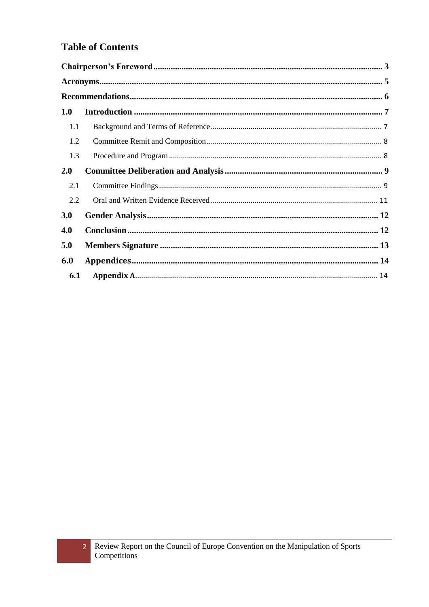### **Table of Contents**

| 1.0 |  |  |  |  |
|-----|--|--|--|--|
| 1.1 |  |  |  |  |
| 1.2 |  |  |  |  |
| 1.3 |  |  |  |  |
| 2.0 |  |  |  |  |
| 2.1 |  |  |  |  |
| 2.2 |  |  |  |  |
| 3.0 |  |  |  |  |
| 4.0 |  |  |  |  |
| 5.0 |  |  |  |  |
| 6.0 |  |  |  |  |
| 6.1 |  |  |  |  |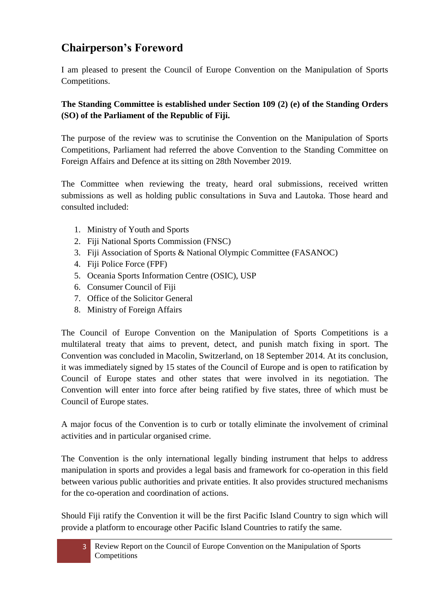## <span id="page-2-0"></span>**Chairperson's Foreword**

I am pleased to present the Council of Europe Convention on the Manipulation of Sports Competitions.

#### **The Standing Committee is established under Section 109 (2) (e) of the Standing Orders (SO) of the Parliament of the Republic of Fiji.**

The purpose of the review was to scrutinise the Convention on the Manipulation of Sports Competitions, Parliament had referred the above Convention to the Standing Committee on Foreign Affairs and Defence at its sitting on 28th November 2019.

The Committee when reviewing the treaty, heard oral submissions, received written submissions as well as holding public consultations in Suva and Lautoka. Those heard and consulted included:

- 1. Ministry of Youth and Sports
- 2. Fiji National Sports Commission (FNSC)
- 3. Fiji Association of Sports & National Olympic Committee (FASANOC)
- 4. Fiji Police Force (FPF)
- 5. Oceania Sports Information Centre (OSIC), USP
- 6. Consumer Council of Fiji
- 7. Office of the Solicitor General
- 8. Ministry of Foreign Affairs

The Council of Europe Convention on the Manipulation of Sports Competitions is a multilateral treaty that aims to prevent, detect, and punish match fixing in sport. The Convention was concluded in Macolin, Switzerland, on 18 September 2014. At its conclusion, it was immediately signed by 15 states of the Council of Europe and is open to ratification by Council of Europe states and other states that were involved in its negotiation. The Convention will enter into force after being ratified by five states, three of which must be Council of Europe states.

A major focus of the Convention is to curb or totally eliminate the involvement of criminal activities and in particular organised crime.

The Convention is the only international legally binding instrument that helps to address manipulation in sports and provides a legal basis and framework for co-operation in this field between various public authorities and private entities. It also provides structured mechanisms for the co-operation and coordination of actions.

Should Fiji ratify the Convention it will be the first Pacific Island Country to sign which will provide a platform to encourage other Pacific Island Countries to ratify the same.

3 Review Report on the Council of Europe Convention on the Manipulation of Sports Competitions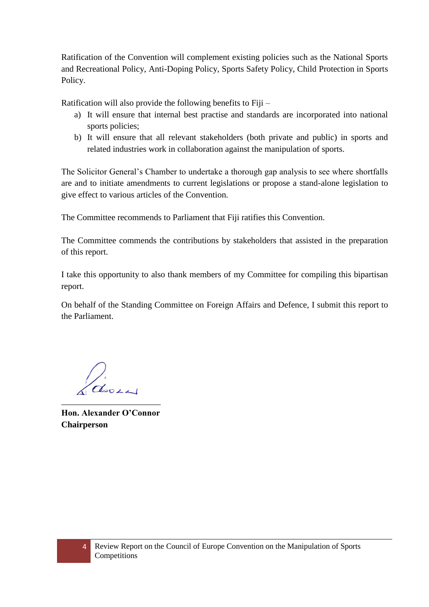Ratification of the Convention will complement existing policies such as the National Sports and Recreational Policy, Anti-Doping Policy, Sports Safety Policy, Child Protection in Sports Policy.

Ratification will also provide the following benefits to Fiji –

- a) It will ensure that internal best practise and standards are incorporated into national sports policies;
- b) It will ensure that all relevant stakeholders (both private and public) in sports and related industries work in collaboration against the manipulation of sports.

The Solicitor General's Chamber to undertake a thorough gap analysis to see where shortfalls are and to initiate amendments to current legislations or propose a stand-alone legislation to give effect to various articles of the Convention.

The Committee recommends to Parliament that Fiji ratifies this Convention.

The Committee commends the contributions by stakeholders that assisted in the preparation of this report.

I take this opportunity to also thank members of my Committee for compiling this bipartisan report.

On behalf of the Standing Committee on Foreign Affairs and Defence, I submit this report to the Parliament.

ason \_\_\_\_\_\_\_\_\_\_\_\_\_\_\_\_\_\_\_\_\_\_\_

**Hon. Alexander O'Connor Chairperson**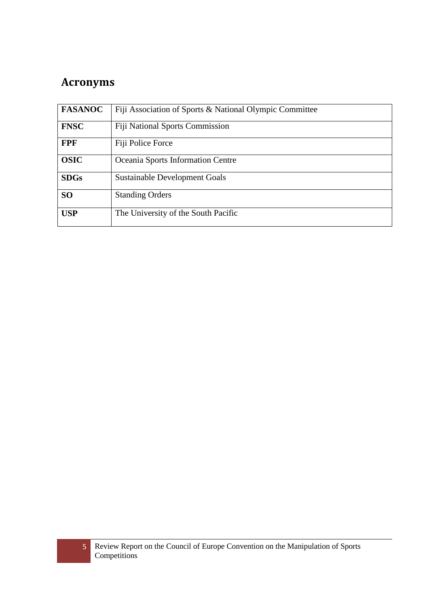## <span id="page-4-0"></span>**Acronyms**

| <b>FASANOC</b> | Fiji Association of Sports & National Olympic Committee |
|----------------|---------------------------------------------------------|
| <b>FNSC</b>    | <b>Fiji National Sports Commission</b>                  |
| <b>FPF</b>     | Fiji Police Force                                       |
| <b>OSIC</b>    | Oceania Sports Information Centre                       |
| <b>SDGs</b>    | <b>Sustainable Development Goals</b>                    |
| <b>SO</b>      | <b>Standing Orders</b>                                  |
| <b>USP</b>     | The University of the South Pacific                     |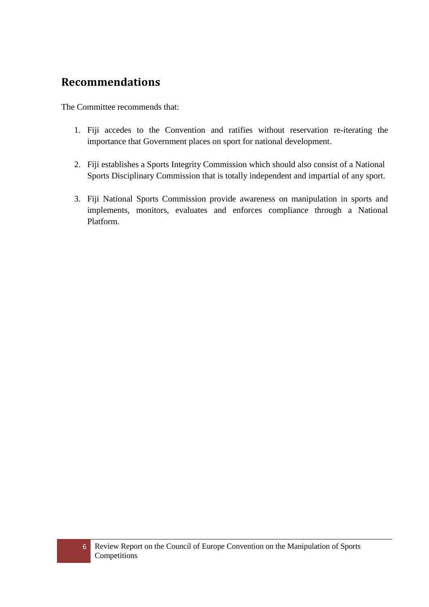## <span id="page-5-0"></span>**Recommendations**

The Committee recommends that:

- 1. Fiji accedes to the Convention and ratifies without reservation re-iterating the importance that Government places on sport for national development.
- 2. Fiji establishes a Sports Integrity Commission which should also consist of a National Sports Disciplinary Commission that is totally independent and impartial of any sport.
- 3. Fiji National Sports Commission provide awareness on manipulation in sports and implements, monitors, evaluates and enforces compliance through a National Platform.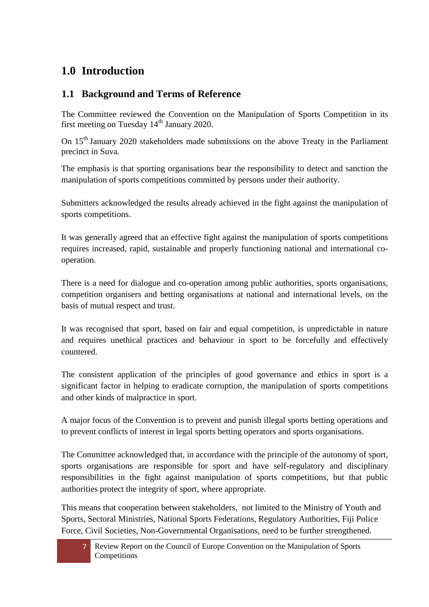### <span id="page-6-0"></span>**1.0 Introduction**

### <span id="page-6-1"></span>**1.1 Background and Terms of Reference**

The Committee reviewed the Convention on the Manipulation of Sports Competition in its first meeting on Tuesday  $14<sup>th</sup>$  January 2020.

On 15<sup>th</sup> January 2020 stakeholders made submissions on the above Treaty in the Parliament precinct in Suva.

The emphasis is that sporting organisations bear the responsibility to detect and sanction the manipulation of sports competitions committed by persons under their authority.

Submitters acknowledged the results already achieved in the fight against the manipulation of sports competitions.

It was generally agreed that an effective fight against the manipulation of sports competitions requires increased, rapid, sustainable and properly functioning national and international cooperation.

There is a need for dialogue and co-operation among public authorities, sports organisations, competition organisers and betting organisations at national and international levels, on the basis of mutual respect and trust.

It was recognised that sport, based on fair and equal competition, is unpredictable in nature and requires unethical practices and behaviour in sport to be forcefully and effectively countered.

The consistent application of the principles of good governance and ethics in sport is a significant factor in helping to eradicate corruption, the manipulation of sports competitions and other kinds of malpractice in sport.

A major focus of the Convention is to prevent and punish illegal sports betting operations and to prevent conflicts of interest in legal sports betting operators and sports organisations.

The Committee acknowledged that, in accordance with the principle of the autonomy of sport, sports organisations are responsible for sport and have self-regulatory and disciplinary responsibilities in the fight against manipulation of sports competitions, but that public authorities protect the integrity of sport, where appropriate.

This means that cooperation between stakeholders, not limited to the Ministry of Youth and Sports, Sectoral Ministries, National Sports Federations, Regulatory Authorities, Fiji Police Force, Civil Societies, Non-Governmental Organisations, need to be further strengthened.

Review Report on the Council of Europe Convention on the Manipulation of Sports Competitions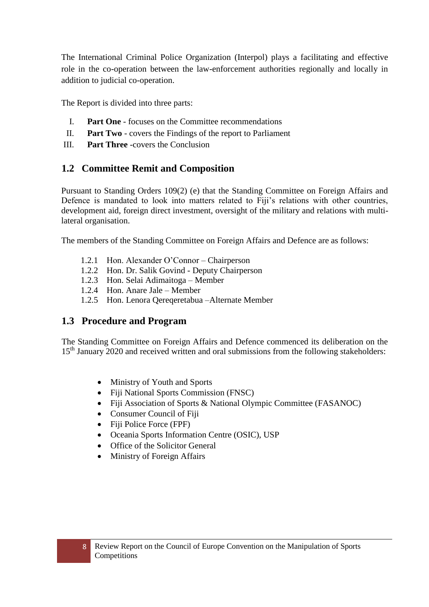The International Criminal Police Organization (Interpol) plays a facilitating and effective role in the co-operation between the law-enforcement authorities regionally and locally in addition to judicial co-operation.

The Report is divided into three parts:

- I. **Part One** focuses on the Committee recommendations
- II. **Part Two** covers the Findings of the report to Parliament
- III. **Part Three** -covers the Conclusion

### <span id="page-7-0"></span>**1.2 Committee Remit and Composition**

Pursuant to Standing Orders 109(2) (e) that the Standing Committee on Foreign Affairs and Defence is mandated to look into matters related to Fiji's relations with other countries, development aid, foreign direct investment, oversight of the military and relations with multilateral organisation.

The members of the Standing Committee on Foreign Affairs and Defence are as follows:

- 1.2.1 Hon. Alexander O'Connor Chairperson
- 1.2.2 Hon. Dr. Salik Govind Deputy Chairperson
- 1.2.3 Hon. Selai Adimaitoga Member
- 1.2.4 Hon. Anare Jale Member
- 1.2.5 Hon. Lenora Qereqeretabua –Alternate Member

### <span id="page-7-1"></span>**1.3 Procedure and Program**

The Standing Committee on Foreign Affairs and Defence commenced its deliberation on the 15<sup>th</sup> January 2020 and received written and oral submissions from the following stakeholders:

- Ministry of Youth and Sports
- Fiji National Sports Commission (FNSC)
- Fiji Association of Sports & National Olympic Committee (FASANOC)
- Consumer Council of Fiji
- Fiji Police Force (FPF)
- Oceania Sports Information Centre (OSIC), USP
- Office of the Solicitor General
- Ministry of Foreign Affairs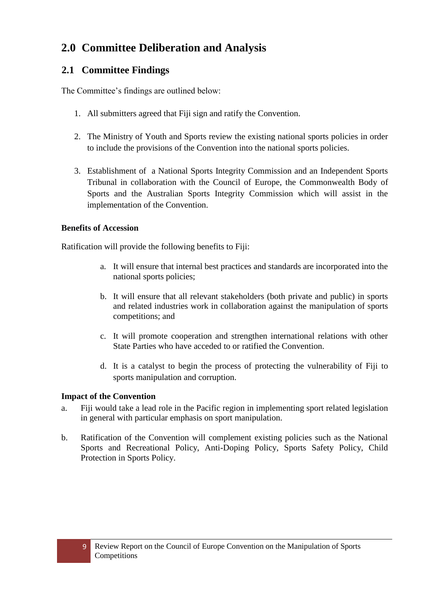## <span id="page-8-0"></span>**2.0 Committee Deliberation and Analysis**

### <span id="page-8-1"></span>**2.1 Committee Findings**

The Committee's findings are outlined below:

- 1. All submitters agreed that Fiji sign and ratify the Convention.
- 2. The Ministry of Youth and Sports review the existing national sports policies in order to include the provisions of the Convention into the national sports policies.
- 3. Establishment of a National Sports Integrity Commission and an Independent Sports Tribunal in collaboration with the Council of Europe, the Commonwealth Body of Sports and the Australian Sports Integrity Commission which will assist in the implementation of the Convention.

#### **Benefits of Accession**

Ratification will provide the following benefits to Fiji:

- a. It will ensure that internal best practices and standards are incorporated into the national sports policies;
- b. It will ensure that all relevant stakeholders (both private and public) in sports and related industries work in collaboration against the manipulation of sports competitions; and
- c. It will promote cooperation and strengthen international relations with other State Parties who have acceded to or ratified the Convention.
- d. It is a catalyst to begin the process of protecting the vulnerability of Fiji to sports manipulation and corruption.

### **Impact of the Convention**

- a. Fiji would take a lead role in the Pacific region in implementing sport related legislation in general with particular emphasis on sport manipulation.
- b. Ratification of the Convention will complement existing policies such as the National Sports and Recreational Policy, Anti-Doping Policy, Sports Safety Policy, Child Protection in Sports Policy.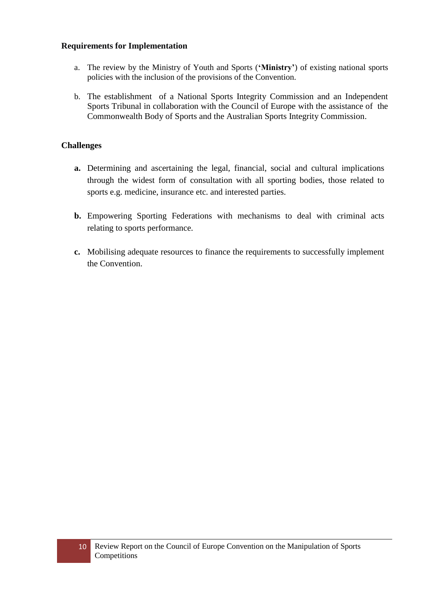#### **Requirements for Implementation**

- a. The review by the Ministry of Youth and Sports (**'Ministry'**) of existing national sports policies with the inclusion of the provisions of the Convention.
- b. The establishment of a National Sports Integrity Commission and an Independent Sports Tribunal in collaboration with the Council of Europe with the assistance of the Commonwealth Body of Sports and the Australian Sports Integrity Commission.

#### **Challenges**

- **a.** Determining and ascertaining the legal, financial, social and cultural implications through the widest form of consultation with all sporting bodies, those related to sports e.g. medicine, insurance etc. and interested parties.
- **b.** Empowering Sporting Federations with mechanisms to deal with criminal acts relating to sports performance.
- **c.** Mobilising adequate resources to finance the requirements to successfully implement the Convention.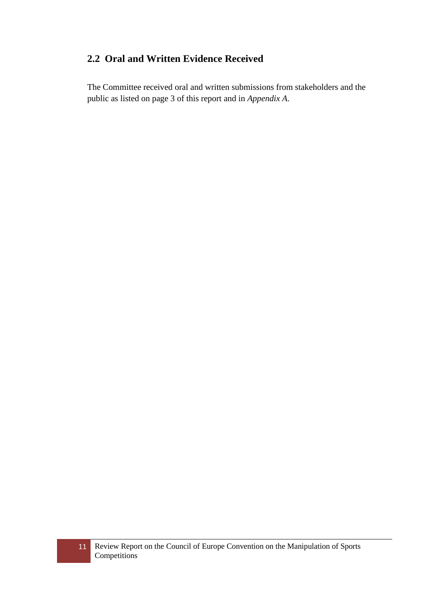### <span id="page-10-0"></span>**2.2 Oral and Written Evidence Received**

The Committee received oral and written submissions from stakeholders and the public as listed on page 3 of this report and in *Appendix A*.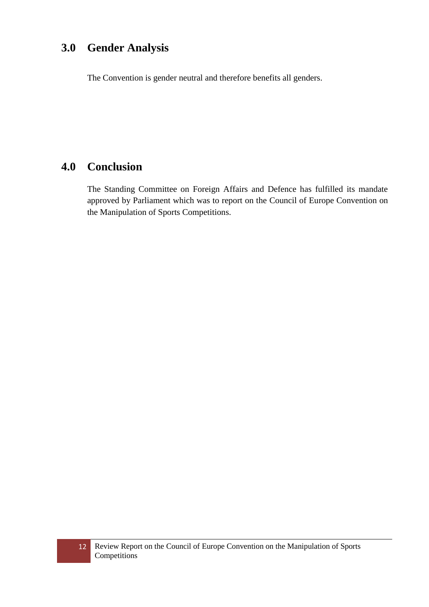## <span id="page-11-0"></span>**3.0 Gender Analysis**

The Convention is gender neutral and therefore benefits all genders.

### <span id="page-11-1"></span>**4.0 Conclusion**

The Standing Committee on Foreign Affairs and Defence has fulfilled its mandate approved by Parliament which was to report on the Council of Europe Convention on the Manipulation of Sports Competitions.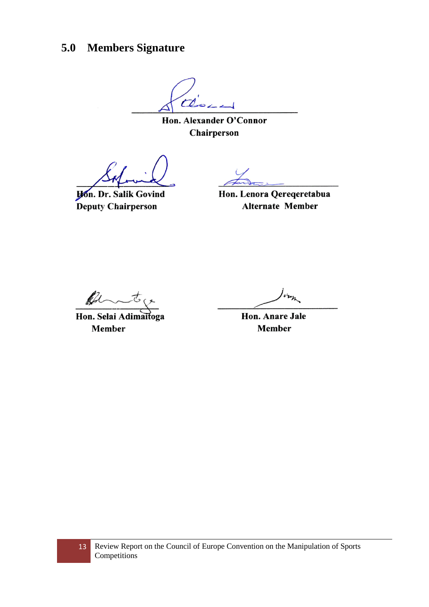## <span id="page-12-0"></span>**5.0 Members Signature**

 $\overline{C}$ 

Hon. Alexander O'Connor Chairperson

**Hon. Dr. Salik Govind** Deputy Chairperson

Hon. Lenora Qereqeretabua **Alternate Member** 

Off

Hon. Selai Adimaitoga Member

Hon. Anare Jale **Member**